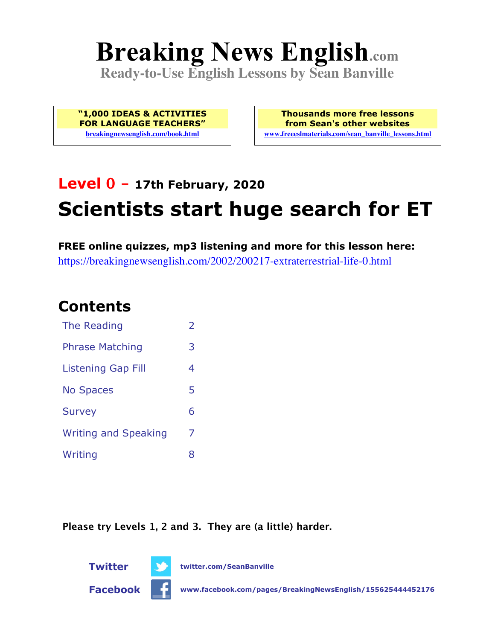# **Breaking News English.com**

**Ready-to-Use English Lessons by Sean Banville**

**"1,000 IDEAS & ACTIVITIES FOR LANGUAGE TEACHERS" breakingnewsenglish.com/book.html**

**Thousands more free lessons from Sean's other websites www.freeeslmaterials.com/sean\_banville\_lessons.html**

## **Level 0 - 17th February, 2020 Scientists start huge search for ET**

**FREE online quizzes, mp3 listening and more for this lesson here:** https://breakingnewsenglish.com/2002/200217-extraterrestrial-life-0.html

#### **Contents**

| The Reading                 | $\mathcal{P}$ |
|-----------------------------|---------------|
| <b>Phrase Matching</b>      | 3             |
| <b>Listening Gap Fill</b>   | 4             |
| <b>No Spaces</b>            | 5             |
| <b>Survey</b>               | 6             |
| <b>Writing and Speaking</b> | 7             |
| Writing                     | x             |

**Please try Levels 1, 2 and 3. They are (a little) harder.**



**Twitter twitter.com/SeanBanville**

**Facebook www.facebook.com/pages/BreakingNewsEnglish/155625444452176**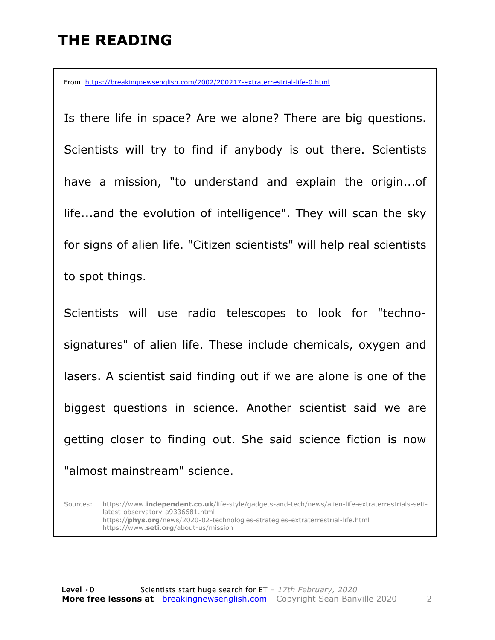#### **THE READING**

From https://breakingnewsenglish.com/2002/200217-extraterrestrial-life-0.html

Is there life in space? Are we alone? There are big questions. Scientists will try to find if anybody is out there. Scientists have a mission, "to understand and explain the origin...of life...and the evolution of intelligence". They will scan the sky for signs of alien life. "Citizen scientists" will help real scientists to spot things.

Scientists will use radio telescopes to look for "technosignatures" of alien life. These include chemicals, oxygen and lasers. A scientist said finding out if we are alone is one of the biggest questions in science. Another scientist said we are getting closer to finding out. She said science fiction is now "almost mainstream" science.

Sources: https://www.**independent.co.uk**/life-style/gadgets-and-tech/news/alien-life-extraterrestrials-setilatest-observatory-a9336681.html https://**phys.org**/news/2020-02-technologies-strategies-extraterrestrial-life.html https://www.**seti.org**/about-us/mission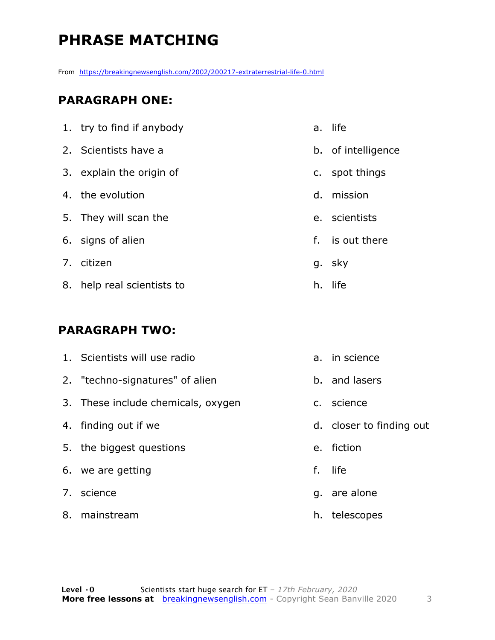### **PHRASE MATCHING**

From https://breakingnewsenglish.com/2002/200217-extraterrestrial-life-0.html

#### **PARAGRAPH ONE:**

| 1. try to find if anybody  | a. | life               |
|----------------------------|----|--------------------|
| 2. Scientists have a       |    | b. of intelligence |
| 3. explain the origin of   |    | c. spot things     |
| 4. the evolution           | d. | mission            |
| 5. They will scan the      |    | e. scientists      |
| 6. signs of alien          |    | f. is out there    |
| 7. citizen                 |    | g. sky             |
| 8. help real scientists to | h. | life               |

#### **PARAGRAPH TWO:**

| 1. Scientists will use radio       |               | a. in science            |
|------------------------------------|---------------|--------------------------|
| 2. "techno-signatures" of alien    |               | b. and lasers            |
| 3. These include chemicals, oxygen | $C_{\bullet}$ | science                  |
| 4. finding out if we               |               | d. closer to finding out |
| 5. the biggest questions           | $e_{1}$       | fiction                  |
| 6. we are getting                  | f.            | life                     |
| 7. science                         |               | g. are alone             |
| 8. mainstream                      | h.            | telescopes               |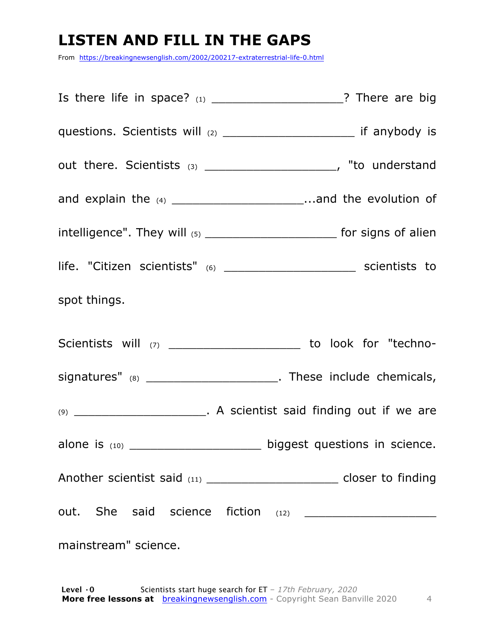#### **LISTEN AND FILL IN THE GAPS**

From https://breakingnewsenglish.com/2002/200217-extraterrestrial-life-0.html

| questions. Scientists will (2) ________________________ if anybody is                |  |
|--------------------------------------------------------------------------------------|--|
| out there. Scientists (3) _______________________, "to understand                    |  |
| and explain the $(4)$ ___________________________and the evolution of                |  |
| intelligence". They will $_{(5)}$ _______________________________ for signs of alien |  |
| life. "Citizen scientists" (6) __________________________________ scientists to      |  |
| spot things.                                                                         |  |
| Scientists will (7) _________________________ to look for "techno-                   |  |
| signatures" (8) _______________________. These include chemicals,                    |  |
|                                                                                      |  |
| alone is (10) _________________________ biggest questions in science.                |  |
| Another scientist said (11) ___________________________ closer to finding            |  |
|                                                                                      |  |
| mainstream" science.                                                                 |  |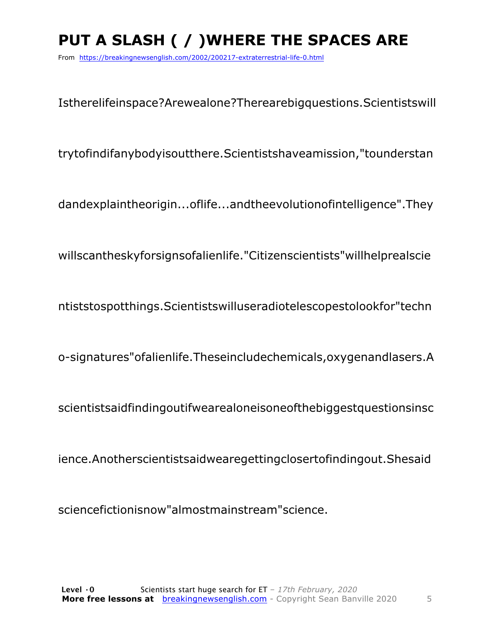## PUT A SLASH ( / ) WHERE THE SPACES ARE

From https://breakingnewsenglish.com/2002/200217-extraterrestrial-life-0.html

Istherelifeinspace?Arewealone?Therearebigguestions.Scientistswill

trytofindifanybodyisoutthere.Scientistshaveamission,"tounderstan

dandexplaintheorigin...oflife...andtheevolutionofintelligence". They

willscantheskyforsignsofalienlife."Citizenscientists"willhelprealscie

ntiststospotthings. Scientists will user adioteles copes to look for "techn

o-signatures" of alienlife. These include chemicals, oxygenandlasers. A

scientistsaidfindingoutifwearealoneisoneofthebiggestguestionsinsc

ience.Anotherscientistsaidwearegettingclosertofindingout.Shesaid

sciencefictionisnow"almostmainstream"science.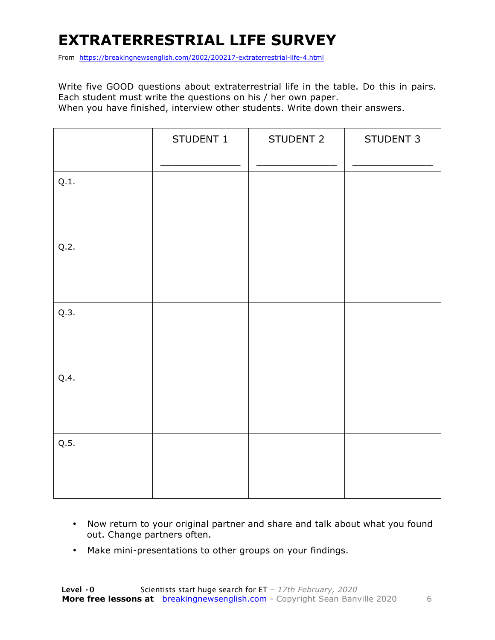#### **EXTRATERRESTRIAL LIFE SURVEY**

From https://breakingnewsenglish.com/2002/200217-extraterrestrial-life-4.html

Write five GOOD questions about extraterrestrial life in the table. Do this in pairs. Each student must write the questions on his / her own paper. When you have finished, interview other students. Write down their answers.

|      | STUDENT 1 | STUDENT 2 | STUDENT 3 |
|------|-----------|-----------|-----------|
| Q.1. |           |           |           |
| Q.2. |           |           |           |
| Q.3. |           |           |           |
| Q.4. |           |           |           |
| Q.5. |           |           |           |

- Now return to your original partner and share and talk about what you found out. Change partners often.
- Make mini-presentations to other groups on your findings.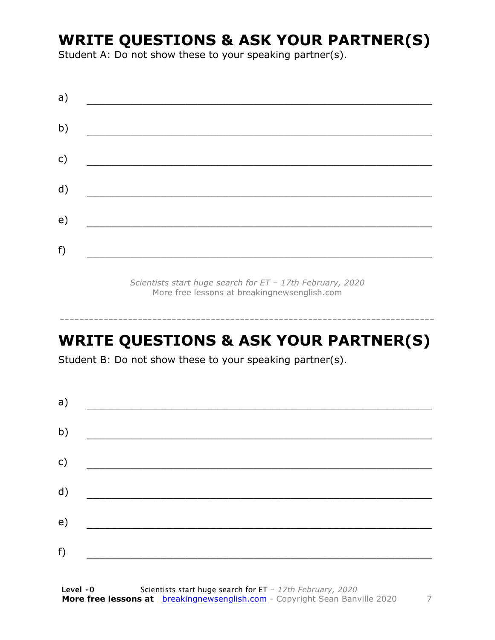#### **WRITE QUESTIONS & ASK YOUR PARTNER(S)**

Student A: Do not show these to your speaking partner(s).

*Scientists start huge search for ET – 17th February, 2020* More free lessons at breakingnewsenglish.com

#### **WRITE QUESTIONS & ASK YOUR PARTNER(S)**

-----------------------------------------------------------------------------

Student B: Do not show these to your speaking partner(s).

| a) |  |  |
|----|--|--|
| b) |  |  |
| c) |  |  |
| d) |  |  |
| e) |  |  |
| f) |  |  |
|    |  |  |